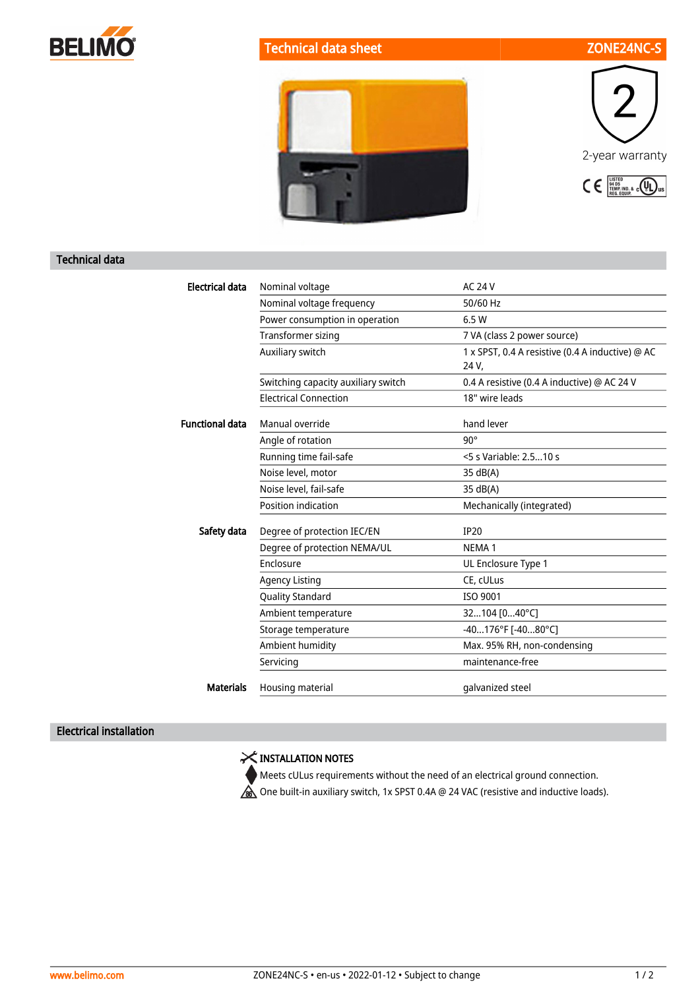





## Technical data

| <b>Electrical data</b> | Nominal voltage                     | <b>AC 24 V</b>                                   |
|------------------------|-------------------------------------|--------------------------------------------------|
|                        | Nominal voltage frequency           | 50/60 Hz                                         |
|                        | Power consumption in operation      | 6.5 W                                            |
|                        | Transformer sizing                  | 7 VA (class 2 power source)                      |
|                        | Auxiliary switch                    | 1 x SPST, 0.4 A resistive (0.4 A inductive) @ AC |
|                        |                                     | 24 V.                                            |
|                        | Switching capacity auxiliary switch | 0.4 A resistive (0.4 A inductive) @ AC 24 V      |
|                        | <b>Electrical Connection</b>        | 18" wire leads                                   |
| <b>Functional data</b> | Manual override                     | hand lever                                       |
|                        | Angle of rotation                   | $90^\circ$                                       |
|                        | Running time fail-safe              | <5 s Variable: 2.510 s                           |
|                        | Noise level, motor                  | 35 dB(A)                                         |
|                        | Noise level, fail-safe              | 35 dB(A)                                         |
|                        | Position indication                 | Mechanically (integrated)                        |
| Safety data            | Degree of protection IEC/EN         | <b>IP20</b>                                      |
|                        | Degree of protection NEMA/UL        | NEMA <sub>1</sub>                                |
|                        | Enclosure                           | UL Enclosure Type 1                              |
|                        | <b>Agency Listing</b>               | CE, cULus                                        |
|                        | <b>Quality Standard</b>             | ISO 9001                                         |
|                        | Ambient temperature                 | 32104 [040°C]                                    |
|                        | Storage temperature                 | -40176°F [-4080°C]                               |
|                        | Ambient humidity                    | Max. 95% RH, non-condensing                      |
|                        | Servicing                           | maintenance-free                                 |
| <b>Materials</b>       | Housing material                    | galvanized steel                                 |
|                        |                                     |                                                  |

## Electrical installation

X INSTALLATION NOTES

Meets cULus requirements without the need of an electrical ground connection.

One built-in auxiliary switch, 1x SPST 0.4A @ 24 VAC (resistive and inductive loads).